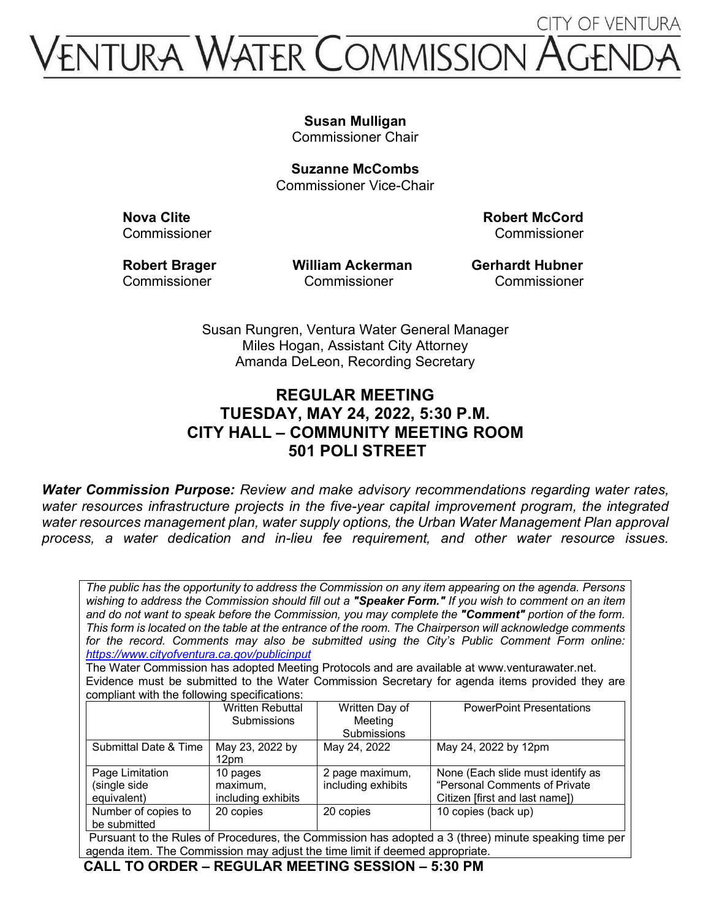# **CITY OF VENTURA VITURA WATER COMMISSION A**

## **Susan Mulligan**

Commissioner Chair

**Suzanne McCombs** Commissioner Vice-Chair

**Nova Clite Robert McCord** Commissioner Commissioner

Robert Brager **Milliam Ackerman** Gerhardt Hubner Commissioner Commissioner Commissioner

Susan Rungren, Ventura Water General Manager Miles Hogan, Assistant City Attorney Amanda DeLeon, Recording Secretary

## **REGULAR MEETING TUESDAY, MAY 24, 2022, 5:30 P.M. CITY HALL – COMMUNITY MEETING ROOM 501 POLI STREET**

*Water Commission Purpose: Review and make advisory recommendations regarding water rates, water resources infrastructure projects in the five-year capital improvement program, the integrated water resources management plan, water supply options, the Urban Water Management Plan approval process, a water dedication and in-lieu fee requirement, and other water resource issues.*

*The public has the opportunity to address the Commission on any item appearing on the agenda. Persons wishing to address the Commission should fill out a "Speaker Form." If you wish to comment on an item and do not want to speak before the Commission, you may complete the "Comment" portion of the form. This form is located on the table at the entrance of the room. The Chairperson will acknowledge comments for the record. Comments may also be submitted using the City's Public Comment Form online: <https://www.cityofventura.ca.gov/publicinput>*

The Water Commission has adopted Meeting Protocols and are available at www.venturawater.net. Evidence must be submitted to the Water Commission Secretary for agenda items provided they are compliant with the following specifications:

|                                                                                                      | <b>Written Rebuttal</b> | Written Day of     | <b>PowerPoint Presentations</b>   |
|------------------------------------------------------------------------------------------------------|-------------------------|--------------------|-----------------------------------|
|                                                                                                      | <b>Submissions</b>      | Meeting            |                                   |
|                                                                                                      |                         | Submissions        |                                   |
| Submittal Date & Time                                                                                | May 23, 2022 by         | May 24, 2022       | May 24, 2022 by 12pm              |
|                                                                                                      | 12pm                    |                    |                                   |
| Page Limitation                                                                                      | 10 pages                | 2 page maximum,    | None (Each slide must identify as |
| (single side                                                                                         | maximum,                | including exhibits | "Personal Comments of Private     |
| equivalent)                                                                                          | including exhibits      |                    | Citizen [first and last name])    |
| Number of copies to                                                                                  | 20 copies               | 20 copies          | 10 copies (back up)               |
| be submitted                                                                                         |                         |                    |                                   |
| Pursuant to the Rules of Procedures, the Commission has adopted a 3 (three) minute speaking time per |                         |                    |                                   |

, the Commission has adopted a  $\beta$  (three) minute speaking time per agenda item. The Commission may adjust the time limit if deemed appropriate.

**CALL TO ORDER – REGULAR MEETING SESSION – 5:30 PM**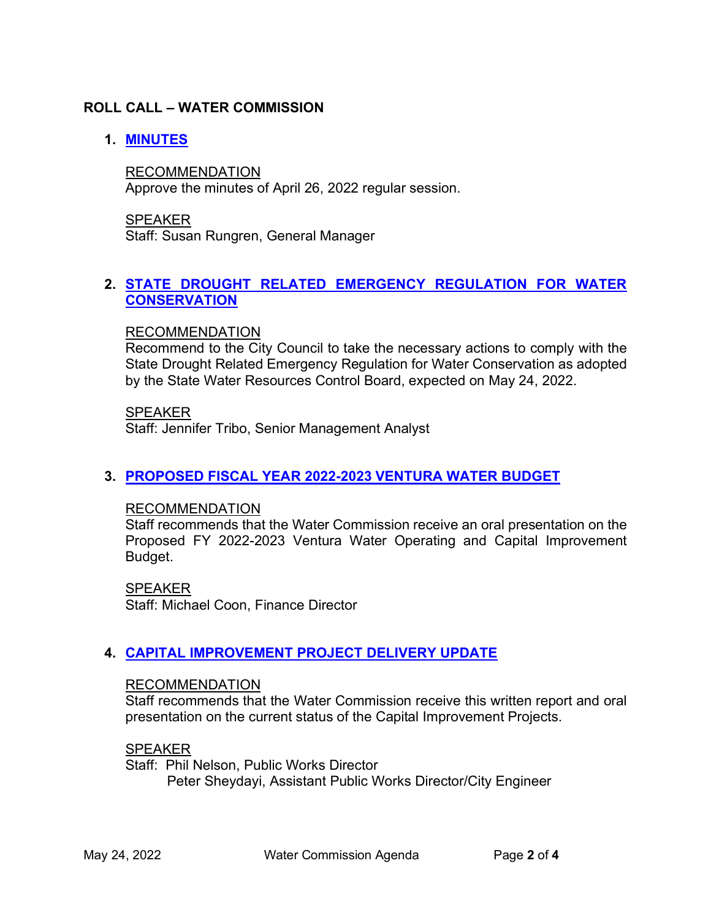## **ROLL CALL – WATER COMMISSION**

## **1. [MINUTES](https://www.cityofventura.ca.gov/DocumentCenter/View/31704/Agenda-Item-1---Draft-Minutes-04262022)**

RECOMMENDATION Approve the minutes of April 26, 2022 regular session.

SPEAKER Staff: Susan Rungren, General Manager

#### **2. [STATE DROUGHT RELATED EMERGENCY REGULATION FOR WATER](https://www.cityofventura.ca.gov/DocumentCenter/View/31705/Agenda-Item-2---State-Drought-Related-Emergency-Regulation-for-Water-Conservation)  [CONSERVATION](https://www.cityofventura.ca.gov/DocumentCenter/View/31705/Agenda-Item-2---State-Drought-Related-Emergency-Regulation-for-Water-Conservation)**

#### RECOMMENDATION

Recommend to the City Council to take the necessary actions to comply with the State Drought Related Emergency Regulation for Water Conservation as adopted by the State Water Resources Control Board, expected on May 24, 2022.

SPEAKER

Staff: Jennifer Tribo, Senior Management Analyst

#### **3. PROPOSED [FISCAL YEAR 2022-2023 VENTURA WATER BUDGET](https://www.cityofventura.ca.gov/DocumentCenter/View/31706/Agenda-Item-3---Proposed-Fiscal-Year-2022-2023-Ventura-Water-Budget)**

#### RECOMMENDATION

Staff recommends that the Water Commission receive an oral presentation on the Proposed FY 2022-2023 Ventura Water Operating and Capital Improvement Budget.

SPEAKER Staff: Michael Coon, Finance Director

#### **4. [CAPITAL IMPROVEMENT PROJECT DELIVERY UPDATE](https://www.cityofventura.ca.gov/DocumentCenter/View/31707/Agenda-Item-4----Capital-Improvement-Project-Delivery-Update)**

#### RECOMMENDATION

Staff recommends that the Water Commission receive this written report and oral presentation on the current status of the Capital Improvement Projects.

#### SPEAKER

Staff: Phil Nelson, Public Works Director Peter Sheydayi, Assistant Public Works Director/City Engineer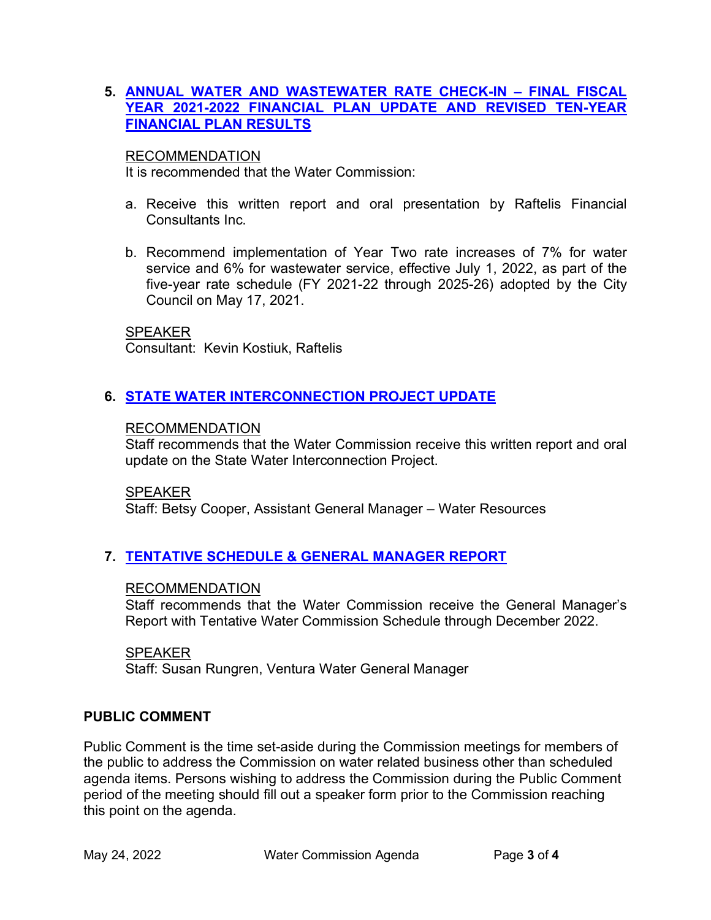### **5. [ANNUAL WATER AND WASTEWATER RATE CHECK-IN – FINAL FISCAL](https://www.cityofventura.ca.gov/DocumentCenter/View/31711/Agenda-Item-5---Annual-Water-and-Wastewater-Rate-Check-in-Final-FY-21-22)  [YEAR 2021-2022 FINANCIAL PLAN UPDATE](https://www.cityofventura.ca.gov/DocumentCenter/View/31711/Agenda-Item-5---Annual-Water-and-Wastewater-Rate-Check-in-Final-FY-21-22) AND REVISED TEN-YEAR [FINANCIAL PLAN RESULTS](https://www.cityofventura.ca.gov/DocumentCenter/View/31711/Agenda-Item-5---Annual-Water-and-Wastewater-Rate-Check-in-Final-FY-21-22)**

#### RECOMMENDATION

It is recommended that the Water Commission:

- a. Receive this written report and oral presentation by Raftelis Financial Consultants Inc.
- b. Recommend implementation of Year Two rate increases of 7% for water service and 6% for wastewater service, effective July 1, 2022, as part of the five-year rate schedule (FY 2021-22 through 2025-26) adopted by the City Council on May 17, 2021.

#### SPEAKER

Consultant: Kevin Kostiuk, Raftelis

## **6. [STATE WATER INTERCONNECTION PROJECT UPDATE](https://www.cityofventura.ca.gov/DocumentCenter/View/31708/Agenda-Item-6---State-Water-Interconnection-Project-Update)**

#### RECOMMENDATION

Staff recommends that the Water Commission receive this written report and oral update on the State Water Interconnection Project.

SPEAKER

Staff: Betsy Cooper, Assistant General Manager – Water Resources

## **7. [TENTATIVE SCHEDULE & GENERAL MANAGER REPORT](https://www.cityofventura.ca.gov/DocumentCenter/View/31709/Agenda-Item-7---General-Managers-Report-and-Tentative-Schedule)**

#### RECOMMENDATION

Staff recommends that the Water Commission receive the General Manager's Report with Tentative Water Commission Schedule through December 2022.

#### SPEAKER

Staff: Susan Rungren, Ventura Water General Manager

## **PUBLIC COMMENT**

Public Comment is the time set-aside during the Commission meetings for members of the public to address the Commission on water related business other than scheduled agenda items. Persons wishing to address the Commission during the Public Comment period of the meeting should fill out a speaker form prior to the Commission reaching this point on the agenda.